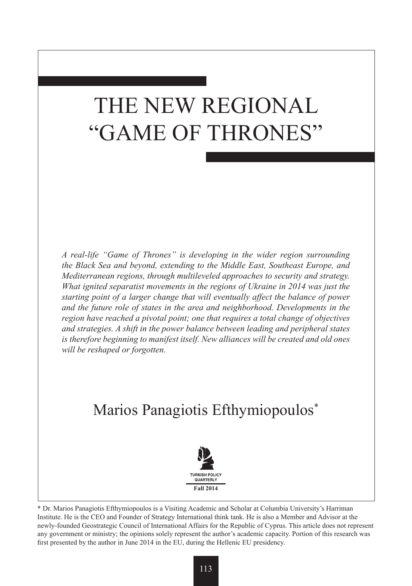# THE NEW REGIONAL "GAME OF THRONES"

*A real-life "Game of Thrones" is developing in the wider region surrounding the Black Sea and beyond, extending to the Middle East, Southeast Europe, and Mediterranean regions, through multileveled approaches to security and strategy. What ignited separatist movements in the regions of Ukraine in 2014 was just the starting point of a larger change that will eventually affect the balance of power and the future role of states in the area and neighborhood. Developments in the region have reached a pivotal point; one that requires a total change of objectives and strategies. A shift in the power balance between leading and peripheral states is therefore beginning to manifest itself. New alliances will be created and old ones will be reshaped or forgotten.*

## Marios Panagiotis Efthymiopoulos\*



\* Dr. Marios Panagiotis Efthymiopoulos is a Visiting Academic and Scholar at Columbia University's Harriman Institute. He is the CEO and Founder of Strategy International think tank. He is also a Member and Advisor at the newly-founded Geostrategic Council of International Affairs for the Republic of Cyprus. This article does not represent any government or ministry; the opinions solely represent the author's academic capacity. Portion of this research was first presented by the author in June 2014 in the EU, during the Hellenic EU presidency.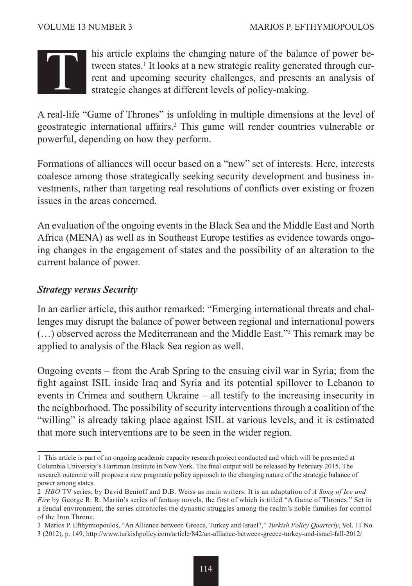

his article explains the changing nature of the balance of power between states.<sup>1</sup> It looks at a new strategic reality generated through current and upcoming security challenges, and presents an analysis of strategic changes at different levels of policy-making.

A real-life "Game of Thrones" is unfolding in multiple dimensions at the level of geostrategic international affairs.<sup>2</sup> This game will render countries vulnerable or powerful, depending on how they perform.

Formations of alliances will occur based on a "new" set of interests. Here, interests coalesce among those strategically seeking security development and business investments, rather than targeting real resolutions of conflicts over existing or frozen issues in the areas concerned.

An evaluation of the ongoing events in the Black Sea and the Middle East and North Africa (MENA) as well as in Southeast Europe testifies as evidence towards ongoing changes in the engagement of states and the possibility of an alteration to the current balance of power.

#### *Strategy versus Security*

In an earlier article, this author remarked: "Emerging international threats and challenges may disrupt the balance of power between regional and international powers (…) observed across the Mediterranean and the Middle East."3 This remark may be applied to analysis of the Black Sea region as well.

Ongoing events – from the Arab Spring to the ensuing civil war in Syria; from the fight against ISIL inside Iraq and Syria and its potential spillover to Lebanon to events in Crimea and southern Ukraine – all testify to the increasing insecurity in the neighborhood. The possibility of security interventions through a coalition of the "willing" is already taking place against ISIL at various levels, and it is estimated that more such interventions are to be seen in the wider region.

<sup>1</sup> This article is part of an ongoing academic capacity research project conducted and which will be presented at Columbia University's Harriman Institute in New York. The final output will be released by February 2015. The research outcome will propose a new pragmatic policy approach to the changing nature of the strategic balance of power among states.

<sup>2</sup> *HBO* TV series, by David Benioff and D.B. Weiss as main writers. It is an adaptation of *A Song of Ice and Fire* by George R. R. Martin's series of fantasy novels, the first of which is titled "A Game of Thrones." Set in a feudal environment, the series chronicles the dynastic struggles among the realm's noble families for control of the Iron Throne.

<sup>3</sup> Marios P. Efthymiopoulos, "An Alliance between Greece, Turkey and Israel?," *Turkish Policy Quarterly*, Vol. 11 No. 3 (2012), p. 149, http://www.turkishpolicy.com/article/842/an-alliance-between-greece-turkey-and-israel-fall-2012/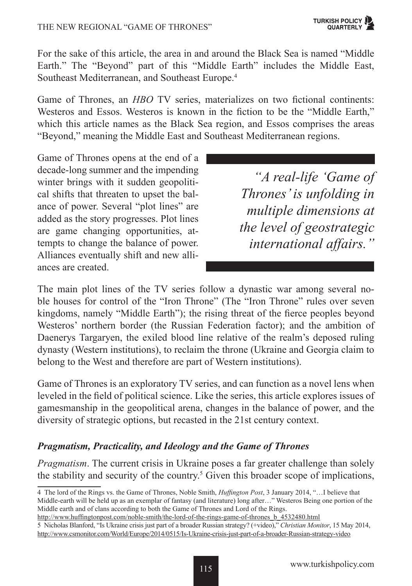For the sake of this article, the area in and around the Black Sea is named "Middle Earth." The "Beyond" part of this "Middle Earth" includes the Middle East, Southeast Mediterranean, and Southeast Europe.4

Game of Thrones, an *HBO* TV series, materializes on two fictional continents: Westeros and Essos. Westeros is known in the fiction to be the "Middle Earth," which this article names as the Black Sea region, and Essos comprises the areas "Beyond," meaning the Middle East and Southeast Mediterranean regions.

Game of Thrones opens at the end of a decade-long summer and the impending winter brings with it sudden geopolitical shifts that threaten to upset the balance of power. Several "plot lines" are added as the story progresses. Plot lines are game changing opportunities, attempts to change the balance of power. Alliances eventually shift and new alliances are created.

*"A real-life 'Game of Thrones' is unfolding in multiple dimensions at the level of geostrategic international affairs."*

The main plot lines of the TV series follow a dynastic war among several noble houses for control of the "Iron Throne" (The "Iron Throne" rules over seven kingdoms, namely "Middle Earth"); the rising threat of the fierce peoples beyond Westeros' northern border (the Russian Federation factor); and the ambition of Daenerys Targaryen, the exiled blood line relative of the realm's deposed ruling dynasty (Western institutions), to reclaim the throne (Ukraine and Georgia claim to belong to the West and therefore are part of Western institutions).

Game of Thrones is an exploratory TV series, and can function as a novel lens when leveled in the field of political science. Like the series, this article explores issues of gamesmanship in the geopolitical arena, changes in the balance of power, and the diversity of strategic options, but recasted in the 21st century context.

### *Pragmatism, Practicality, and Ideology and the Game of Thrones*

*Pragmatism*. The current crisis in Ukraine poses a far greater challenge than solely the stability and security of the country.<sup>5</sup> Given this broader scope of implications,

http://www.huffingtonpost.com/noble-smith/the-lord-of-the-rings-game-of-thrones\_b\_4532480.html

<sup>4</sup> The lord of the Rings vs. the Game of Thrones, Noble Smith, *Huffington Post*, 3 January 2014, "…I believe that Middle-earth will be held up as an exemplar of fantasy (and literature) long after…" Westeros Being one portion of the Middle earth and of clans according to both the Game of Thrones and Lord of the Rings.

<sup>5</sup> Nicholas Blanford, "Is Ukraine crisis just part of a broader Russian strategy? (+video)," *Christian Monitor*, 15 May 2014, http://www.csmonitor.com/World/Europe/2014/0515/Is-Ukraine-crisis-just-part-of-a-broader-Russian-strategy-video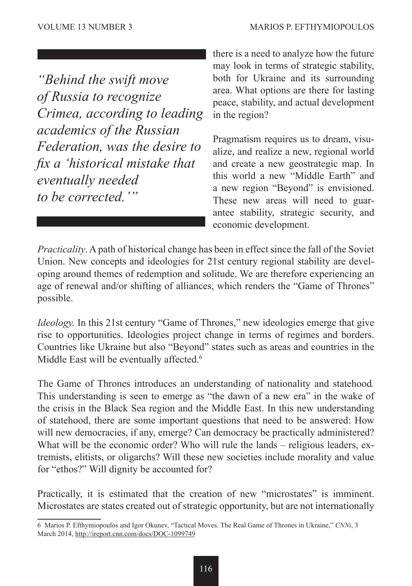*"Behind the swift move of Russia to recognize Crimea, according to leading academics of the Russian Federation, was the desire to fix a 'historical mistake that eventually needed to be corrected.'"*

there is a need to analyze how the future may look in terms of strategic stability, both for Ukraine and its surrounding area. What options are there for lasting peace, stability, and actual development in the region?

Pragmatism requires us to dream, visualize, and realize a new, regional world and create a new geostrategic map. In this world a new "Middle Earth" and a new region "Beyond" is envisioned. These new areas will need to guarantee stability, strategic security, and economic development.

*Practicality*. A path of historical change has been in effect since the fall of the Soviet Union. New concepts and ideologies for 21st century regional stability are developing around themes of redemption and solitude. We are therefore experiencing an age of renewal and/or shifting of alliances, which renders the "Game of Thrones" possible.

*Ideology.* In this 21st century "Game of Thrones," new ideologies emerge that give rise to opportunities. Ideologies project change in terms of regimes and borders. Countries like Ukraine but also "Beyond" states such as areas and countries in the Middle East will be eventually affected.<sup>6</sup>

The Game of Thrones introduces an understanding of nationality and statehood*.*  This understanding is seen to emerge as "the dawn of a new era" in the wake of the crisis in the Black Sea region and the Middle East. In this new understanding of statehood, there are some important questions that need to be answered: How will new democracies, if any, emerge? Can democracy be practically administered? What will be the economic order? Who will rule the lands – religious leaders, extremists, elitists, or oligarchs? Will these new societies include morality and value for "ethos?" Will dignity be accounted for?

Practically, it is estimated that the creation of new "microstates" is imminent. Microstates are states created out of strategic opportunity, but are not internationally

<sup>6</sup> Marios P. Efthymiopoulos and Igor Okunev, "Tactical Moves. The Real Game of Thrones in Ukraine," *CNNi*, 3 March 2014, http://ireport.cnn.com/docs/DOC-1099749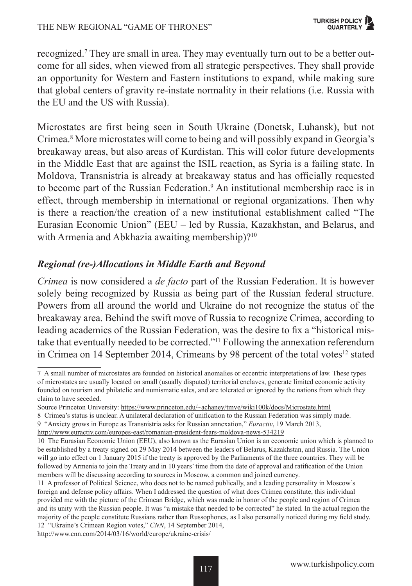recognized.7 They are small in area. They may eventually turn out to be a better outcome for all sides, when viewed from all strategic perspectives. They shall provide an opportunity for Western and Eastern institutions to expand, while making sure that global centers of gravity re-instate normality in their relations (i.e. Russia with the EU and the US with Russia).

Microstates are first being seen in South Ukraine (Donetsk, Luhansk), but not Crimea.<sup>8</sup> More microstates will come to being and will possibly expand in Georgia's breakaway areas, but also areas of Kurdistan. This will color future developments in the Middle East that are against the ISIL reaction, as Syria is a failing state. In Moldova, Transnistria is already at breakaway status and has officially requested to become part of the Russian Federation.<sup>9</sup> An institutional membership race is in effect, through membership in international or regional organizations. Then why is there a reaction/the creation of a new institutional establishment called "The Eurasian Economic Union" (EEU – led by Russia, Kazakhstan, and Belarus, and with Armenia and Abkhazia awaiting membership)?<sup>10</sup>

### *Regional (re-)Allocations in Middle Earth and Beyond*

*Crimea* is now considered a *de facto* part of the Russian Federation. It is however solely being recognized by Russia as being part of the Russian federal structure. Powers from all around the world and Ukraine do not recognize the status of the breakaway area. Behind the swift move of Russia to recognize Crimea, according to leading academics of the Russian Federation, was the desire to fix a "historical mistake that eventually needed to be corrected."11 Following the annexation referendum in Crimea on 14 September 2014, Crimeans by 98 percent of the total votes $12$  stated

http://www.euractiv.com/europes-east/romanian-president-fears-moldova-news-534219

http://www.cnn.com/2014/03/16/world/europe/ukraine-crisis/

<sup>7</sup> A small number of microstates are founded on historical anomalies or eccentric interpretations of law. These types of microstates are usually located on small (usually disputed) territorial enclaves, generate limited economic activity founded on tourism and philatelic and numismatic sales, and are tolerated or ignored by the nations from which they claim to have seceded.

Source Princeton University: https://www.princeton.edu/~achaney/tmve/wiki100k/docs/Microstate.html

<sup>8</sup> Crimea's status is unclear. A unilateral declaration of unification to the Russian Federation was simply made.

<sup>9 &</sup>quot;Anxiety grows in Europe as Transnistria asks for Russian annexation," *Euractiv*, 19 March 2013,

<sup>10</sup> The Eurasian Economic Union (EEU), also known as the Eurasian Union is an economic union which is planned to be established by a treaty signed on 29 May 2014 between the leaders of Belarus, Kazakhstan, and Russia. The Union will go into effect on 1 January 2015 if the treaty is approved by the Parliaments of the three countries. They will be followed by Armenia to join the Treaty and in 10 years' time from the date of approval and ratification of the Union members will be discussing according to sources in Moscow, a common and joined currency.

<sup>11</sup> A professor of Political Science, who does not to be named publically, and a leading personality in Moscow's foreign and defense policy affairs. When I addressed the question of what does Crimea constitute, this individual provided me with the picture of the Crimean Bridge, which was made in honor of the people and region of Crimea and its unity with the Russian people. It was "a mistake that needed to be corrected" he stated. In the actual region the majority of the people constitute Russians rather than Russophones, as I also personally noticed during my field study. 12 "Ukraine's Crimean Region votes," *CNN*, 14 September 2014,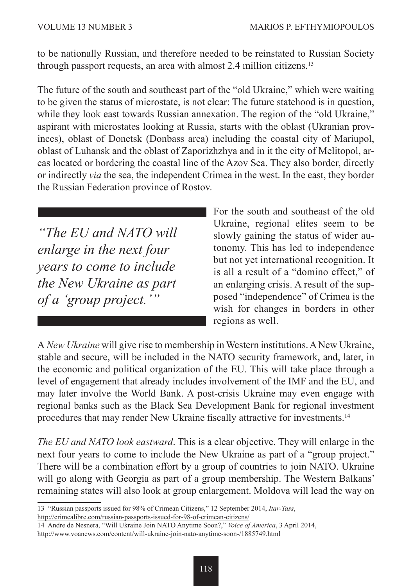to be nationally Russian, and therefore needed to be reinstated to Russian Society through passport requests, an area with almost 2.4 million citizens.<sup>13</sup>

The future of the south and southeast part of the "old Ukraine," which were waiting to be given the status of microstate, is not clear: The future statehood is in question, while they look east towards Russian annexation. The region of the "old Ukraine," aspirant with microstates looking at Russia, starts with the oblast (Ukranian provinces), oblast of Donetsk (Donbass area) including the coastal city of Mariupol, oblast of Luhansk and the oblast of Zaporizhzhya and in it the city of Melitopol, areas located or bordering the coastal line of the Azov Sea. They also border, directly or indirectly *via* the sea, the independent Crimea in the west. In the east, they border the Russian Federation province of Rostov.

*"The EU and NATO will enlarge in the next four years to come to include the New Ukraine as part of a 'group project.'"*

For the south and southeast of the old Ukraine, regional elites seem to be slowly gaining the status of wider autonomy. This has led to independence but not yet international recognition. It is all a result of a "domino effect," of an enlarging crisis. A result of the supposed "independence" of Crimea is the wish for changes in borders in other regions as well.

A *New Ukraine* will give rise to membership in Western institutions. A New Ukraine, stable and secure, will be included in the NATO security framework, and, later, in the economic and political organization of the EU. This will take place through a level of engagement that already includes involvement of the IMF and the EU, and may later involve the World Bank. A post-crisis Ukraine may even engage with regional banks such as the Black Sea Development Bank for regional investment procedures that may render New Ukraine fiscally attractive for investments.14

*The EU and NATO look eastward*. This is a clear objective. They will enlarge in the next four years to come to include the New Ukraine as part of a "group project." There will be a combination effort by a group of countries to join NATO. Ukraine will go along with Georgia as part of a group membership. The Western Balkans' remaining states will also look at group enlargement. Moldova will lead the way on

<sup>13</sup> "Russian passports issued for 98% of Crimean Citizens," 12 September 2014, *Itar-Tass*, http://crimealibre.com/russian-passports-issued-for-98-of-crimean-citizens/

<sup>14</sup> Andre de Nesnera, "Will Ukraine Join NATO Anytime Soon?," *Voice of America*, 3 April 2014,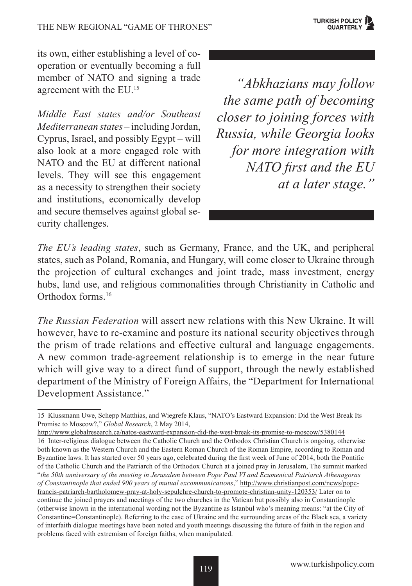its own, either establishing a level of cooperation or eventually becoming a full member of NATO and signing a trade agreement with the EU.<sup>15</sup>

*Middle East states and/or Southeast Mediterranean states* – including Jordan, Cyprus, Israel, and possibly Egypt – will also look at a more engaged role with NATO and the EU at different national levels. They will see this engagement as a necessity to strengthen their society and institutions, economically develop and secure themselves against global security challenges.

*"Abkhazians may follow the same path of becoming closer to joining forces with Russia, while Georgia looks for more integration with NATO first and the EU at a later stage."*

*The EU's leading states*, such as Germany, France, and the UK, and peripheral states, such as Poland, Romania, and Hungary, will come closer to Ukraine through the projection of cultural exchanges and joint trade, mass investment, energy hubs, land use, and religious commonalities through Christianity in Catholic and Orthodox forms<sup>16</sup>

*The Russian Federation* will assert new relations with this New Ukraine. It will however, have to re-examine and posture its national security objectives through the prism of trade relations and effective cultural and language engagements. A new common trade-agreement relationship is to emerge in the near future which will give way to a direct fund of support, through the newly established department of the Ministry of Foreign Affairs, the "Department for International Development Assistance."

http://www.globalresearch.ca/natos-eastward-expansion-did-the-west-break-its-promise-to-moscow/5380144 16 Inter-religious dialogue between the Catholic Church and the Orthodox Christian Church is ongoing, otherwise both known as the Western Church and the Eastern Roman Church of the Roman Empire, according to Roman and Byzantine laws. It has started over 50 years ago, celebrated during the first week of June of 2014, both the Pontific of the Catholic Church and the Patriarch of the Orthodox Church at a joined pray in Jerusalem, The summit marked "*the 50th anniversary of the meeting in Jerusalem between Pope Paul VI and Ecumenical Patriarch Athenagoras of Constantinople that ended 900 years of mutual excommunications*," http://www.christianpost.com/news/popefrancis-patriarch-bartholomew-pray-at-holy-sepulchre-church-to-promote-christian-unity-120353/ Later on to continue the joined prayers and meetings of the two churches in the Vatican but possibly also in Constantinople (otherwise known in the international wording not the Byzantine as Istanbul who's meaning means: "at the City of Constantine=Constantinople). Referring to the case of Ukraine and the surrounding areas of the Black sea, a variety of interfaith dialogue meetings have been noted and youth meetings discussing the future of faith in the region and problems faced with extremism of foreign faiths, when manipulated.

<sup>15</sup> Klussmann Uwe, Schepp Matthias, and Wiegrefe Klaus, "NATO's Eastward Expansion: Did the West Break Its Promise to Moscow?," *Global Research*, 2 May 2014,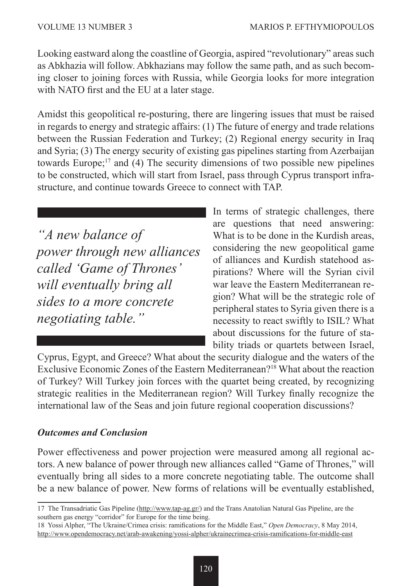Looking eastward along the coastline of Georgia, aspired "revolutionary" areas such as Abkhazia will follow. Abkhazians may follow the same path, and as such becoming closer to joining forces with Russia, while Georgia looks for more integration with NATO first and the EU at a later stage.

Amidst this geopolitical re-posturing, there are lingering issues that must be raised in regards to energy and strategic affairs: (1) The future of energy and trade relations between the Russian Federation and Turkey; (2) Regional energy security in Iraq and Syria; (3) The energy security of existing gas pipelines starting from Azerbaijan towards Europe;17 and (4) The security dimensions of two possible new pipelines to be constructed, which will start from Israel, pass through Cyprus transport infrastructure, and continue towards Greece to connect with TAP.

*"A new balance of power through new alliances called 'Game of Thrones' will eventually bring all sides to a more concrete negotiating table."*

In terms of strategic challenges, there are questions that need answering: What is to be done in the Kurdish areas. considering the new geopolitical game of alliances and Kurdish statehood aspirations? Where will the Syrian civil war leave the Eastern Mediterranean region? What will be the strategic role of peripheral states to Syria given there is a necessity to react swiftly to ISIL? What about discussions for the future of stability triads or quartets between Israel,

Cyprus, Egypt, and Greece? What about the security dialogue and the waters of the Exclusive Economic Zones of the Eastern Mediterranean?18 What about the reaction of Turkey? Will Turkey join forces with the quartet being created, by recognizing strategic realities in the Mediterranean region? Will Turkey finally recognize the international law of the Seas and join future regional cooperation discussions?

### *Outcomes and Conclusion*

Power effectiveness and power projection were measured among all regional actors. A new balance of power through new alliances called "Game of Thrones," will eventually bring all sides to a more concrete negotiating table. The outcome shall be a new balance of power. New forms of relations will be eventually established,

<sup>17</sup> The Transadriatic Gas Pipeline (http://www.tap-ag.gr/) and the Trans Anatolian Natural Gas Pipeline, are the southern gas energy "corridor" for Europe for the time being.

<sup>18</sup> Yossi Alpher, "The Ukraine/Crimea crisis: ramifications for the Middle East," *Open Democracy*, 8 May 2014, http://www.opendemocracy.net/arab-awakening/yossi-alpher/ukrainecrimea-crisis-ramifications-for-middle-east